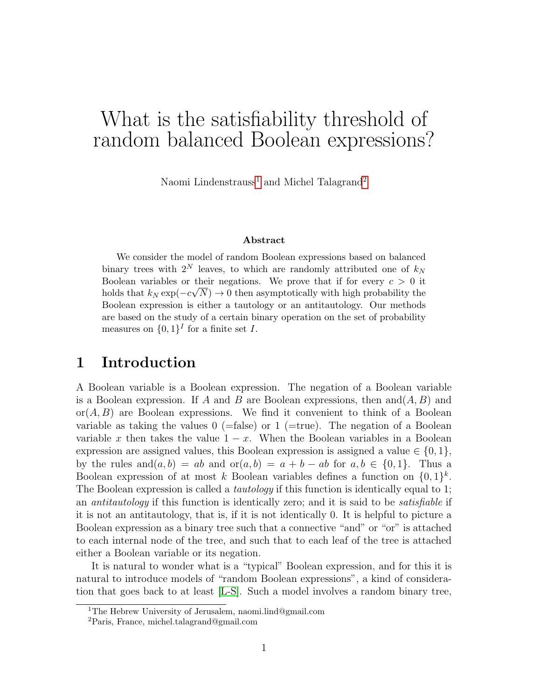# What is the satisfiability threshold of random balanced Boolean expressions?

Naomi Lindenstrauss<sup>[1](#page-0-0)</sup> and Michel Talagrand<sup>[2](#page-0-1)</sup>

#### Abstract

We consider the model of random Boolean expressions based on balanced binary trees with  $2^N$  leaves, to which are randomly attributed one of  $k_N$ Boolean variables or their negations. We prove that if for every  $c > 0$  it holds that  $k_N \exp(-c\sqrt{N}) \to 0$  then asymptotically with high probability the Boolean expression is either a tautology or an antitautology. Our methods are based on the study of a certain binary operation on the set of probability measures on  $\{0,1\}^I$  for a finite set I.

# 1 Introduction

A Boolean variable is a Boolean expression. The negation of a Boolean variable is a Boolean expression. If A and B are Boolean expressions, then and  $(A, B)$  and  $\text{or}(A, B)$  are Boolean expressions. We find it convenient to think of a Boolean variable as taking the values  $0$  (=false) or  $1$  (=true). The negation of a Boolean variable x then takes the value  $1 - x$ . When the Boolean variables in a Boolean expression are assigned values, this Boolean expression is assigned a value  $\in \{0, 1\}$ , by the rules and  $(a, b) = ab$  and  $or(a, b) = a + b - ab$  for  $a, b \in \{0, 1\}$ . Thus a Boolean expression of at most k Boolean variables defines a function on  $\{0,1\}^k$ . The Boolean expression is called a *tautology* if this function is identically equal to 1; an antitautology if this function is identically zero; and it is said to be satisfiable if it is not an antitautology, that is, if it is not identically 0. It is helpful to picture a Boolean expression as a binary tree such that a connective "and" or "or" is attached to each internal node of the tree, and such that to each leaf of the tree is attached either a Boolean variable or its negation.

It is natural to wonder what is a "typical" Boolean expression, and for this it is natural to introduce models of "random Boolean expressions", a kind of consideration that goes back to at least [\[L-S\]](#page-19-0). Such a model involves a random binary tree,

<span id="page-0-0"></span><sup>1</sup>The Hebrew University of Jerusalem, naomi.lind@gmail.com

<span id="page-0-1"></span><sup>2</sup>Paris, France, michel.talagrand@gmail.com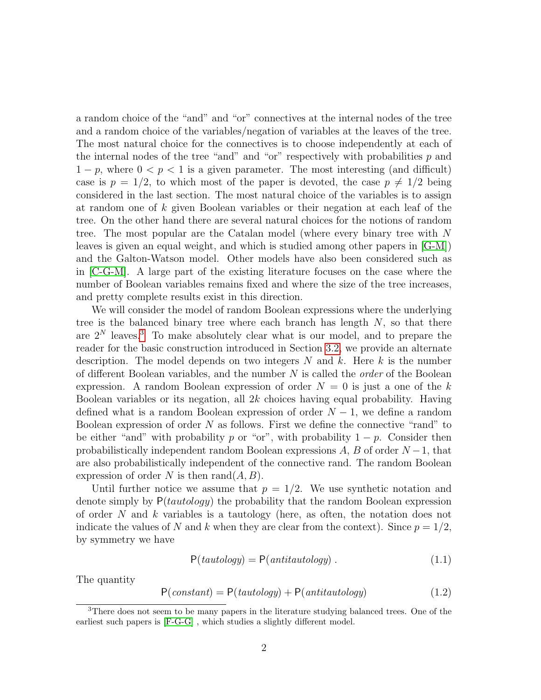a random choice of the "and" and "or" connectives at the internal nodes of the tree and a random choice of the variables/negation of variables at the leaves of the tree. The most natural choice for the connectives is to choose independently at each of the internal nodes of the tree "and" and "or" respectively with probabilities  $p$  and  $1 - p$ , where  $0 \le p \le 1$  is a given parameter. The most interesting (and difficult) case is  $p = 1/2$ , to which most of the paper is devoted, the case  $p \neq 1/2$  being considered in the last section. The most natural choice of the variables is to assign at random one of k given Boolean variables or their negation at each leaf of the tree. On the other hand there are several natural choices for the notions of random tree. The most popular are the Catalan model (where every binary tree with N leaves is given an equal weight, and which is studied among other papers in [\[G-M\]](#page-19-1)) and the Galton-Watson model. Other models have also been considered such as in [\[C-G-M\]](#page-19-2). A large part of the existing literature focuses on the case where the number of Boolean variables remains fixed and where the size of the tree increases, and pretty complete results exist in this direction.

We will consider the model of random Boolean expressions where the underlying tree is the balanced binary tree where each branch has length  $N$ , so that there are  $2^N$  leaves.<sup>[3](#page-1-0)</sup> To make absolutely clear what is our model, and to prepare the reader for the basic construction introduced in Section [3.2,](#page-4-0) we provide an alternate description. The model depends on two integers  $N$  and  $k$ . Here k is the number of different Boolean variables, and the number  $N$  is called the *order* of the Boolean expression. A random Boolean expression of order  $N = 0$  is just a one of the k Boolean variables or its negation, all 2k choices having equal probability. Having defined what is a random Boolean expression of order  $N-1$ , we define a random Boolean expression of order  $N$  as follows. First we define the connective "rand" to be either "and" with probability p or "or", with probability  $1 - p$ . Consider then probabilistically independent random Boolean expressions  $A, B$  of order  $N-1$ , that are also probabilistically independent of the connective rand. The random Boolean expression of order N is then  $\text{rand}(A, B)$ .

Until further notice we assume that  $p = 1/2$ . We use synthetic notation and denote simply by  $P(tautology)$  the probability that the random Boolean expression of order  $N$  and  $k$  variables is a tautology (here, as often, the notation does not indicate the values of N and k when they are clear from the context). Since  $p = 1/2$ , by symmetry we have

$$
P(tautology) = P(antitautology) . \t(1.1)
$$

The quantity

<span id="page-1-1"></span>
$$
P(constant) = P(tautology) + P(antitautology)
$$
\n(1.2)

<span id="page-1-0"></span><sup>3</sup>There does not seem to be many papers in the literature studying balanced trees. One of the earliest such papers is [\[F-G-G\]](#page-19-3) , which studies a slightly different model.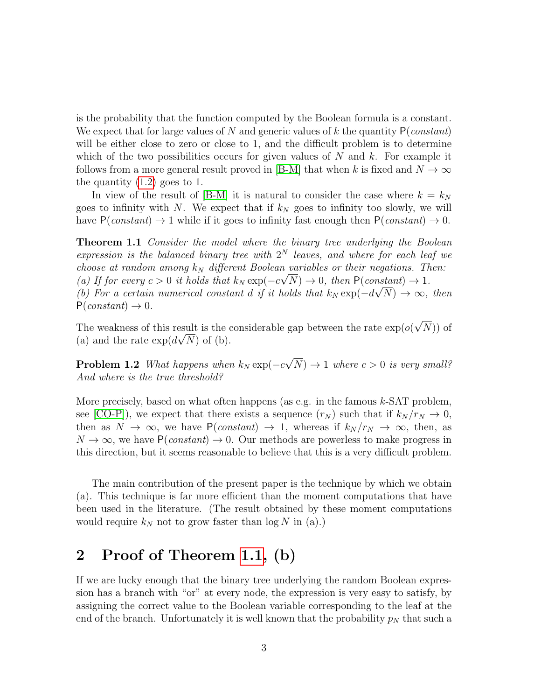is the probability that the function computed by the Boolean formula is a constant. We expect that for large values of N and generic values of k the quantity  $P(constant)$ will be either close to zero or close to 1, and the difficult problem is to determine which of the two possibilities occurs for given values of  $N$  and  $k$ . For example it follows from a more general result proved in [\[B-M\]](#page-19-4) that when k is fixed and  $N \to \infty$ the quantity [\(1.2\)](#page-1-1) goes to 1.

<span id="page-2-0"></span>In view of the result of [\[B-M\]](#page-19-4) it is natural to consider the case where  $k = k_N$ goes to infinity with N. We expect that if  $k_N$  goes to infinity too slowly, we will have  $P(constant) \rightarrow 1$  while if it goes to infinity fast enough then  $P(constant) \rightarrow 0$ .

Theorem 1.1 Consider the model where the binary tree underlying the Boolean expression is the balanced binary tree with  $2^N$  leaves, and where for each leaf we choose at random among  $k_N$  different Boolean variables or their negations. Then: (a) If for every  $c > 0$  it holds that  $k_N \exp(-c\sqrt{N}) \to 0$ , then  $P(\text{constant}) \to 1$ . (b) For a certain numerical constant d if it holds that  $k_N \exp(-d\sqrt{N}) \to \infty$ , then  $P(constant) \rightarrow 0.$ 

The weakness of this result is the considerable gap between the rate  $\exp(o($ √ esult is the considerable gap between the rate  $\exp(o(\sqrt{N}))$  of (a) and the rate  $\exp(d\sqrt{N})$  of (b).

<span id="page-2-1"></span>**Problem 1.2** What happens when  $k_N \exp(-c)$ √  $(N) \rightarrow 1$  where  $c > 0$  is very small? And where is the true threshold?

More precisely, based on what often happens (as e.g. in the famous  $k$ -SAT problem, see [\[CO-P\]](#page-19-5)), we expect that there exists a sequence  $(r_N)$  such that if  $k_N / r_N \rightarrow 0$ , then as  $N \to \infty$ , we have  $P(constant) \to 1$ , whereas if  $k_N / r_N \to \infty$ , then, as  $N \to \infty$ , we have  $P(constant) \to 0$ . Our methods are powerless to make progress in this direction, but it seems reasonable to believe that this is a very difficult problem.

The main contribution of the present paper is the technique by which we obtain (a). This technique is far more efficient than the moment computations that have been used in the literature. (The result obtained by these moment computations would require  $k_N$  not to grow faster than  $\log N$  in (a).)

# 2 Proof of Theorem [1.1,](#page-2-0) (b)

If we are lucky enough that the binary tree underlying the random Boolean expression has a branch with "or" at every node, the expression is very easy to satisfy, by assigning the correct value to the Boolean variable corresponding to the leaf at the end of the branch. Unfortunately it is well known that the probability  $p<sub>N</sub>$  that such a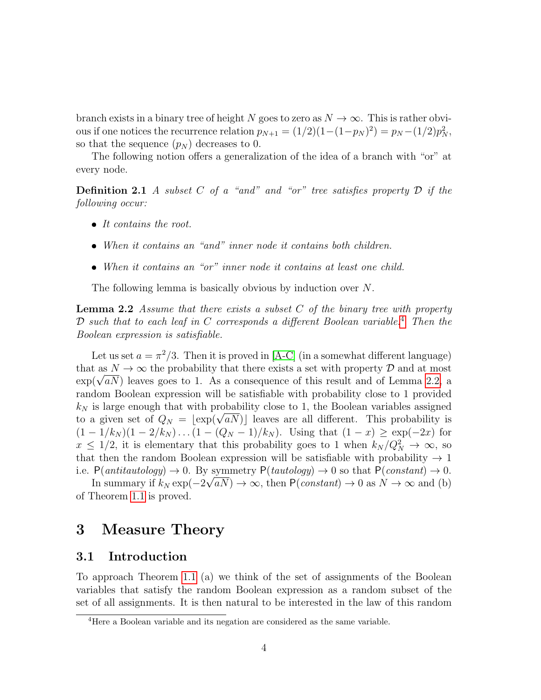branch exists in a binary tree of height N goes to zero as  $N \to \infty$ . This is rather obvious if one notices the recurrence relation  $p_{N+1} = (1/2)(1-(1-p_N)^2) = p_N - (1/2)p_N^2$ , so that the sequence  $(p_N)$  decreases to 0.

The following notion offers a generalization of the idea of a branch with "or" at every node.

**Definition 2.1** A subset C of a "and" and "or" tree satisfies property  $D$  if the following occur:

- $\bullet$  It contains the root.
- When it contains an "and" inner node it contains both children.
- <span id="page-3-1"></span>When it contains an "or" inner node it contains at least one child.

The following lemma is basically obvious by induction over N.

**Lemma 2.2** Assume that there exists a subset  $C$  of the binary tree with property  $D$  such that to each leaf in  $C$  corresponds a different Boolean variable.<sup>[4](#page-3-0)</sup> Then the Boolean expression is satisfiable.

Let us set  $a = \pi^2/3$ . Then it is proved in [\[A-C\]](#page-19-6) (in a somewhat different language) that as  $N \to \infty$  the probability that there exists a set with property D and at most that as  $N \to \infty$  the probability that there exists a set with property  $\nu$  and at most exp( $\sqrt{aN}$ ) leaves goes to 1. As a consequence of this result and of Lemma [2.2,](#page-3-1) a random Boolean expression will be satisfiable with probability close to 1 provided  $k_N$  is large enough that with probability close to 1, the Boolean variables assigned  $\kappa_N$  is large enough that with probability close to 1, the Boolean variables assigned<br>to a given set of  $Q_N = \lfloor \exp(\sqrt{aN}) \rfloor$  leaves are all different. This probability is  $(1 - 1/k_N)(1 - 2/k_N) \dots (1 - (Q_N - 1)/k_N)$ . Using that  $(1 - x) \ge \exp(-2x)$  for  $x \leq 1/2$ , it is elementary that this probability goes to 1 when  $k_N/Q_N^2 \to \infty$ , so that then the random Boolean expression will be satisfiable with probability  $\rightarrow$  1 i.e.  $P(antitautology) \rightarrow 0$ . By symmetry  $P(tautology) \rightarrow 0$  so that  $P(constant) \rightarrow 0$ .

In summary if  $k_N \exp(-2\sqrt{aN}) \to \infty$ , then  $P(constant) \to 0$  as  $N \to \infty$  and (b) of Theorem [1.1](#page-2-0) is proved.

# <span id="page-3-2"></span>3 Measure Theory

#### 3.1 Introduction

To approach Theorem [1.1](#page-2-0) (a) we think of the set of assignments of the Boolean variables that satisfy the random Boolean expression as a random subset of the set of all assignments. It is then natural to be interested in the law of this random

<span id="page-3-0"></span><sup>&</sup>lt;sup>4</sup>Here a Boolean variable and its negation are considered as the same variable.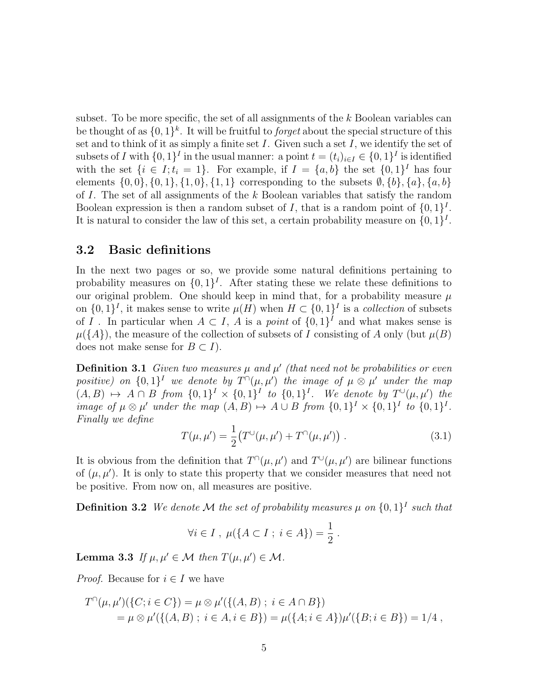subset. To be more specific, the set of all assignments of the  $k$  Boolean variables can be thought of as  $\{0,1\}^k$ . It will be fruitful to *forget* about the special structure of this set and to think of it as simply a finite set  $I$ . Given such a set  $I$ , we identify the set of subsets of I with  $\{0,1\}^I$  in the usual manner: a point  $t = (t_i)_{i \in I} \in \{0,1\}^I$  is identified with the set  $\{i \in I; t_i = 1\}$ . For example, if  $I = \{a, b\}$  the set  $\{0, 1\}^I$  has four elements  $\{0, 0\}, \{0, 1\}, \{1, 0\}, \{1, 1\}$  corresponding to the subsets  $\emptyset, \{b\}, \{a\}, \{a, b\}$ of I. The set of all assignments of the k Boolean variables that satisfy the random Boolean expression is then a random subset of I, that is a random point of  $\{0,1\}^I$ . It is natural to consider the law of this set, a certain probability measure on  $\{0,1\}^I$ .

#### <span id="page-4-0"></span>3.2 Basic definitions

In the next two pages or so, we provide some natural definitions pertaining to probability measures on  $\{0,1\}^I$ . After stating these we relate these definitions to our original problem. One should keep in mind that, for a probability measure  $\mu$ on  $\{0,1\}^I$ , it makes sense to write  $\mu(H)$  when  $H \subset \{0,1\}^I$  is a collection of subsets of I . In particular when  $A \subset I$ , A is a *point* of  $\{0,1\}^I$  and what makes sense is  $\mu({A})$ , the measure of the collection of subsets of I consisting of A only (but  $\mu(B)$ ) does not make sense for  $B \subset I$ ).

**Definition 3.1** Given two measures  $\mu$  and  $\mu'$  (that need not be probabilities or even positive) on  $\{0,1\}^I$  we denote by  $T^{\cap}(\mu,\mu')$  the image of  $\mu \otimes \mu'$  under the map  $(A, B) \mapsto A \cap B$  from  $\{0, 1\}^I \times \{0, 1\}^I$  to  $\{0, 1\}^I$ . We denote by  $T^{\cup}(\mu, \mu')$  the image of  $\mu \otimes \mu'$  under the map  $(A, B) \mapsto A \cup B$  from  $\{0, 1\}^I \times \{0, 1\}^I$  to  $\{0, 1\}^I$ . Finally we define

<span id="page-4-1"></span>
$$
T(\mu, \mu') = \frac{1}{2} \big( T^{\cup}(\mu, \mu') + T^{\cap}(\mu, \mu') \big) . \tag{3.1}
$$

It is obvious from the definition that  $T^{\cap}(\mu, \mu')$  and  $T^{\cup}(\mu, \mu')$  are bilinear functions of  $(\mu, \mu')$ . It is only to state this property that we consider measures that need not be positive. From now on, all measures are positive.

**Definition 3.2** We denote M the set of probability measures  $\mu$  on  $\{0,1\}^I$  such that

$$
\forall i \in I \; , \; \mu(\{A \subset I \; ; \; i \in A\}) = \frac{1}{2} \; .
$$

**Lemma 3.3** If  $\mu, \mu' \in \mathcal{M}$  then  $T(\mu, \mu') \in \mathcal{M}$ .

*Proof.* Because for  $i \in I$  we have

$$
T^{\cap}(\mu, \mu')(\{C; i \in C\}) = \mu \otimes \mu'(\{(A, B) \; ; \; i \in A \cap B\})
$$
  
=  $\mu \otimes \mu'(\{(A, B) \; ; \; i \in A, i \in B\}) = \mu(\{A; i \in A\})\mu'(\{B; i \in B\}) = 1/4$ ,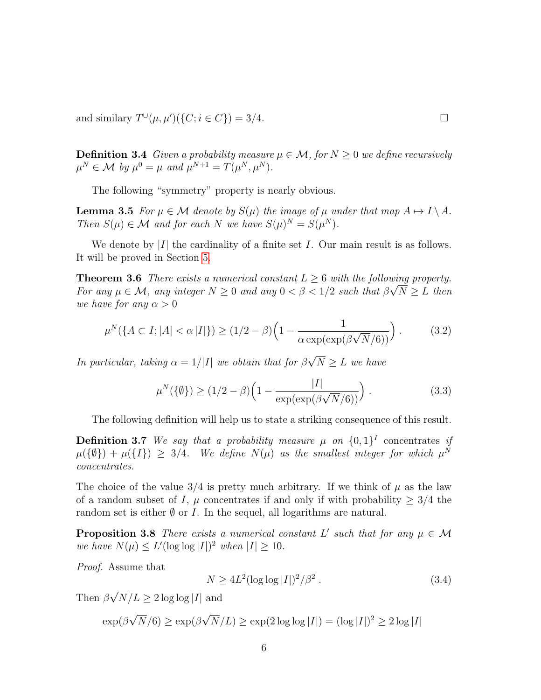and similary  $T^{\cup}(\mu, \mu')(\{C; i \in C\}) = 3/4.$ 

**Definition 3.4** Given a probability measure  $\mu \in \mathcal{M}$ , for  $N \geq 0$  we define recursively  $\mu^N \in \mathcal{M}$  by  $\mu^0 = \mu$  and  $\mu^{N+1} = T(\mu^N, \mu^N)$ .

<span id="page-5-1"></span>The following "symmetry" property is nearly obvious.

**Lemma 3.5** For  $\mu \in \mathcal{M}$  denote by  $S(\mu)$  the image of  $\mu$  under that map  $A \mapsto I \setminus A$ . Then  $S(\mu) \in \mathcal{M}$  and for each N we have  $S(\mu)^N = S(\mu^N)$ .

We denote by  $|I|$  the cardinality of a finite set I. Our main result is as follows. It will be proved in Section [5.](#page-9-0)

**Theorem 3.6** There exists a numerical constant  $L \geq 6$  with the following property. For any  $\mu \in \mathcal{M}$ , any integer  $N \geq 0$  and any  $0 < \beta < 1/2$  such that  $\beta \sqrt{N} \geq L$  then we have for any  $\alpha > 0$ 

<span id="page-5-4"></span><span id="page-5-3"></span>
$$
\mu^N(\lbrace A \subset I; |A| < \alpha |I|\rbrace) \ge (1/2 - \beta) \left(1 - \frac{1}{\alpha \exp(\exp(\beta \sqrt{N}/6))}\right). \tag{3.2}
$$

In particular, taking  $\alpha = 1/|I|$  we obtain that for  $\beta$ √  $N \geq L$  we have

<span id="page-5-0"></span>
$$
\mu^N(\{\emptyset\}) \ge (1/2 - \beta) \left(1 - \frac{|I|}{\exp(\exp(\beta \sqrt{N}/6))}\right). \tag{3.3}
$$

The following definition will help us to state a striking consequence of this result.

**Definition 3.7** We say that a probability measure  $\mu$  on  $\{0,1\}^I$  concentrates if  $\mu({\{\emptyset\}}) + \mu({\{I\}}) \geq 3/4$ . We define  $N(\mu)$  as the smallest integer for which  $\mu^N$ concentrates.

The choice of the value  $3/4$  is pretty much arbitrary. If we think of  $\mu$  as the law of a random subset of I,  $\mu$  concentrates if and only if with probability  $\geq 3/4$  the random set is either  $\emptyset$  or I. In the sequel, all logarithms are natural.

**Proposition 3.8** There exists a numerical constant L' such that for any  $\mu \in \mathcal{M}$ we have  $N(\mu) \le L'(\log \log |I|)^2$  when  $|I| \ge 10$ .

Proof. Assume that

<span id="page-5-2"></span>
$$
N \ge 4L^2(\log \log |I|)^2/\beta^2. \tag{3.4}
$$

Then  $\beta$ √  $N/L \geq 2 \log \log |I|$  and

$$
\exp(\beta\sqrt{N}/6) \ge \exp(\beta\sqrt{N}/L) \ge \exp(2\log\log|I|) = (\log|I|)^2 \ge 2\log|I|
$$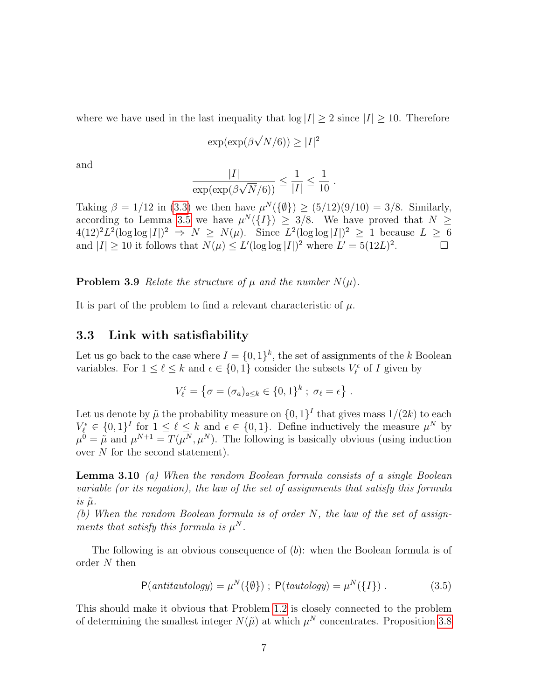where we have used in the last inequality that  $log |I| \geq 2$  since  $|I| \geq 10$ . Therefore

$$
\exp(\exp(\beta\sqrt{N}/6)) \ge |I|^2
$$

and

$$
\frac{|I|}{\exp(\exp(\beta\sqrt{N}/6))} \le \frac{1}{|I|} \le \frac{1}{10} .
$$

Taking  $\beta = 1/12$  in [\(3.3\)](#page-5-0) we then have  $\mu^{N}(\{\emptyset\}) \geq (5/12)(9/10) = 3/8$ . Similarly, according to Lemma [3.5](#page-5-1) we have  $\mu^N({I}) \geq 3/8$ . We have proved that  $N \geq$  $4(12)^2L^2(\log \log |I|)^2 \Rightarrow N \ge N(\mu)$ . Since  $L^2(\log \log |I|)^2 \ge 1$  because  $L \ge 6$ and  $|I| \geq 10$  it follows that  $N(\mu) \leq L'(\log \log |I|)^2$  where  $L' = 5(12L)^2$ . — П

**Problem 3.9** Relate the structure of  $\mu$  and the number  $N(\mu)$ .

It is part of the problem to find a relevant characteristic of  $\mu$ .

#### <span id="page-6-1"></span>3.3 Link with satisfiability

Let us go back to the case where  $I = \{0,1\}^k$ , the set of assignments of the k Boolean variables. For  $1 \leq \ell \leq k$  and  $\epsilon \in \{0, 1\}$  consider the subsets  $V_{\ell}^{\epsilon}$  of I given by

$$
V_{\ell}^{\epsilon} = \{ \sigma = (\sigma_a)_{a \leq k} \in \{0,1\}^k \; ; \; \sigma_{\ell} = \epsilon \} .
$$

Let us denote by  $\tilde{\mu}$  the probability measure on  $\{0,1\}^I$  that gives mass  $1/(2k)$  to each  $V_{\ell}^{\epsilon} \in \{0,1\}^I$  for  $1 \leq \ell \leq k$  and  $\epsilon \in \{0,1\}$ . Define inductively the measure  $\mu^N$  by  $\mu^0 = \tilde{\mu}$  and  $\mu^{N+1} = T(\mu^N, \mu^N)$ . The following is basically obvious (using induction over N for the second statement).

**Lemma 3.10** (a) When the random Boolean formula consists of a single Boolean variable (or its negation), the law of the set of assignments that satisfy this formula  $is \tilde{\mu}.$ 

(b) When the random Boolean formula is of order N, the law of the set of assignments that satisfy this formula is  $\mu^N$ .

The following is an obvious consequence of (b): when the Boolean formula is of order N then

<span id="page-6-0"></span>
$$
P(\text{antitautology}) = \mu^N(\{\emptyset\}) ; P(\text{tautology}) = \mu^N(\{I\}) . \tag{3.5}
$$

This should make it obvious that Problem [1.2](#page-2-1) is closely connected to the problem of determining the smallest integer  $N(\tilde{\mu})$  at which  $\mu^N$  concentrates. Proposition [3.8](#page-5-2)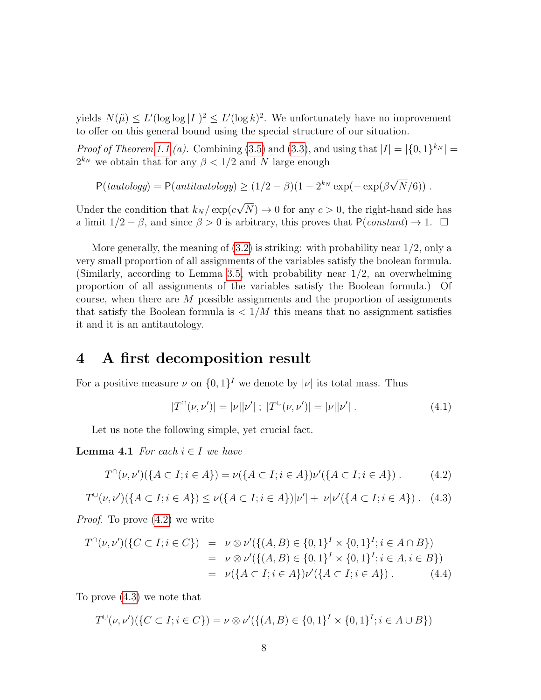yields  $N(\tilde{\mu}) \le L'(\log \log |I|)^2 \le L'(\log k)^2$ . We unfortunately have no improvement to offer on this general bound using the special structure of our situation.

*Proof of Theorem [1.1](#page-2-0) (a).* Combining [\(3.5\)](#page-6-0) and [\(3.3\)](#page-5-0), and using that  $|I| = |\{0, 1\}^{k_N}| =$  $2^{k_N}$  we obtain that for any  $\beta < 1/2$  and N large enough

 $P(tautology) = P(antitautology) \ge (1/2 - \beta)(1 - 2^{k_N} \exp(-\exp(\beta$ √  $N/6)$ ).

Under the condition that  $k_N / \exp(c)$ √  $N$ )  $\rightarrow$  0 for any  $c > 0$ , the right-hand side has a limit  $1/2 - \beta$ , and since  $\beta > 0$  is arbitrary, this proves that  $P(constant) \rightarrow 1$ .  $\Box$ 

More generally, the meaning of  $(3.2)$  is striking: with probability near  $1/2$ , only a very small proportion of all assignments of the variables satisfy the boolean formula. (Similarly, according to Lemma [3.5,](#page-5-1) with probability near 1/2, an overwhelming proportion of all assignments of the variables satisfy the Boolean formula.) Of course, when there are  $M$  possible assignments and the proportion of assignments that satisfy the Boolean formula is  $\langle 1/M \rangle$  this means that no assignment satisfies it and it is an antitautology.

# 4 A first decomposition result

For a positive measure  $\nu$  on  $\{0,1\}^I$  we denote by  $|\nu|$  its total mass. Thus

<span id="page-7-2"></span>
$$
|T^{\cap}(\nu, \nu')| = |\nu||\nu'| \; ; \; |T^{\cup}(\nu, \nu')| = |\nu||\nu'| \; . \tag{4.1}
$$

Let us note the following simple, yet crucial fact.

**Lemma 4.1** For each  $i \in I$  we have

<span id="page-7-0"></span>
$$
T^{(i)}(\nu, \nu')(\{A \subset I; i \in A\}) = \nu(\{A \subset I; i \in A\})\nu'(\{A \subset I; i \in A\}).
$$
 (4.2)

<span id="page-7-1"></span>
$$
T^{\cup}(\nu, \nu')(\lbrace A \subset I; i \in A \rbrace) \le \nu(\lbrace A \subset I; i \in A \rbrace)|\nu'| + |\nu|\nu'(\lbrace A \subset I; i \in A \rbrace). \tag{4.3}
$$

Proof. To prove [\(4.2\)](#page-7-0) we write

$$
T^{\cap}(\nu, \nu')(\{C \subset I; i \in C\}) = \nu \otimes \nu'(\{(A, B) \in \{0, 1\}^I \times \{0, 1\}^I; i \in A \cap B\})
$$
  
=  $\nu \otimes \nu'(\{(A, B) \in \{0, 1\}^I \times \{0, 1\}^I; i \in A, i \in B\})$   
=  $\nu(\{A \subset I; i \in A\})\nu'(\{A \subset I; i \in A\})$ . (4.4)

To prove [\(4.3\)](#page-7-1) we note that

$$
T^{\cup}(\nu, \nu')(\{C \subset I; i \in C\}) = \nu \otimes \nu'(\{(A, B) \in \{0, 1\}^I \times \{0, 1\}^I; i \in A \cup B\})
$$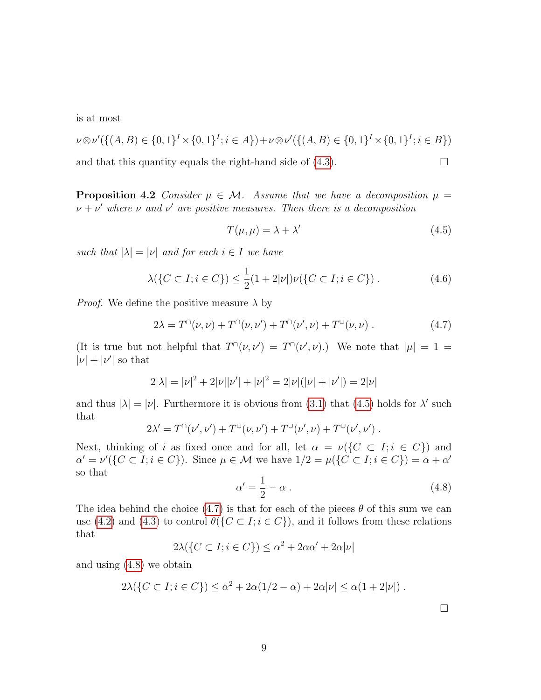is at most

$$
\nu \otimes \nu'(\{(A, B) \in \{0, 1\}^I \times \{0, 1\}^I; i \in A\}) + \nu \otimes \nu'(\{(A, B) \in \{0, 1\}^I \times \{0, 1\}^I; i \in B\})
$$

and that this quantity equals the right-hand side of  $(4.3)$ .

**Proposition 4.2** Consider  $\mu \in \mathcal{M}$ . Assume that we have a decomposition  $\mu =$  $\nu + \nu'$  where  $\nu$  and  $\nu'$  are positive measures. Then there is a decomposition

<span id="page-8-3"></span><span id="page-8-0"></span>
$$
T(\mu, \mu) = \lambda + \lambda' \tag{4.5}
$$

such that  $|\lambda| = |\nu|$  and for each  $i \in I$  we have

$$
\lambda(\{C \subset I; i \in C\}) \le \frac{1}{2}(1+2|\nu|)\nu(\{C \subset I; i \in C\})\,. \tag{4.6}
$$

*Proof.* We define the positive measure  $\lambda$  by

<span id="page-8-1"></span>
$$
2\lambda = T^{\cap}(\nu, \nu) + T^{\cap}(\nu, \nu') + T^{\cap}(\nu', \nu) + T^{\cup}(\nu, \nu) . \qquad (4.7)
$$

(It is true but not helpful that  $T^{\cap}(\nu, \nu') = T^{\cap}(\nu', \nu)$ .) We note that  $|\mu| = 1$  $|\nu| + |\nu'|$  so that

$$
2|\lambda| = |\nu|^2 + 2|\nu||\nu'| + |\nu|^2 = 2|\nu|(|\nu| + |\nu'|) = 2|\nu|
$$

and thus  $|\lambda| = |\nu|$ . Furthermore it is obvious from [\(3.1\)](#page-4-1) that [\(4.5\)](#page-8-0) holds for  $\lambda'$  such that

$$
2\lambda' = T^{\cap}(\nu', \nu') + T^{\cup}(\nu, \nu') + T^{\cup}(\nu', \nu) + T^{\cup}(\nu', \nu') .
$$

Next, thinking of i as fixed once and for all, let  $\alpha = \nu({C \subset I; i \in C})$  and  $\alpha' = \nu'(\lbrace C \subset I; i \in C \rbrace)$ . Since  $\mu \in \mathcal{M}$  we have  $1/2 = \mu(\lbrace C \subset I; i \in C \rbrace) = \alpha + \alpha'$ so that

<span id="page-8-2"></span>
$$
\alpha' = \frac{1}{2} - \alpha \tag{4.8}
$$

The idea behind the choice [\(4.7\)](#page-8-1) is that for each of the pieces  $\theta$  of this sum we can use [\(4.2\)](#page-7-0) and [\(4.3\)](#page-7-1) to control  $\theta({C \subset I; i \in C})$ , and it follows from these relations that

$$
2\lambda(\{C \subset I; i \in C\}) \le \alpha^2 + 2\alpha\alpha' + 2\alpha|\nu|
$$

and using [\(4.8\)](#page-8-2) we obtain

$$
2\lambda(\lbrace C \subset I; i \in C \rbrace) \leq \alpha^2 + 2\alpha(1/2 - \alpha) + 2\alpha|\nu| \leq \alpha(1 + 2|\nu|).
$$

<span id="page-8-4"></span> $\Box$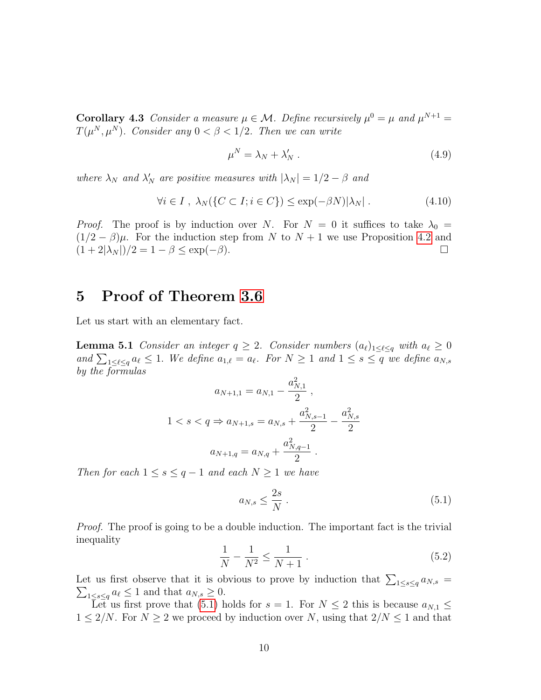**Corollary 4.3** Consider a measure  $\mu \in \mathcal{M}$ . Define recursively  $\mu^0 = \mu$  and  $\mu^{N+1} =$  $T(\mu^N, \mu^N)$ . Consider any  $0 < \beta < 1/2$ . Then we can write

$$
\mu^N = \lambda_N + \lambda'_N \ . \tag{4.9}
$$

where  $\lambda_N$  and  $\lambda'_N$  are positive measures with  $|\lambda_N| = 1/2 - \beta$  and

$$
\forall i \in I \ , \ \lambda_N(\{C \subset I; i \in C\}) \le \exp(-\beta N)|\lambda_N| \ . \tag{4.10}
$$

*Proof.* The proof is by induction over N. For  $N = 0$  it suffices to take  $\lambda_0 =$  $(1/2 - \beta)\mu$ . For the induction step from N to  $N + 1$  we use Proposition [4.2](#page-8-3) and  $(1+2|\lambda_N|)/2 = 1-\beta \leq \exp(-\beta).$ 

### <span id="page-9-0"></span>5 Proof of Theorem [3.6](#page-5-4)

<span id="page-9-3"></span>Let us start with an elementary fact.

**Lemma 5.1** Consider an integer  $q \geq 2$ . Consider numbers  $(a_\ell)_{1 \leq \ell \leq q}$  with  $a_\ell \geq 0$ and  $\sum_{1 \leq \ell \leq q} a_{\ell} \leq 1$ . We define  $a_{1,\ell} = a_{\ell}$ . For  $N \geq 1$  and  $1 \leq s \leq q$  we define  $a_{N,s}$ by the formulas

$$
a_{N+1,1} = a_{N,1} - \frac{a_{N,1}^2}{2},
$$
  
 
$$
1 < s < q \Rightarrow a_{N+1,s} = a_{N,s} + \frac{a_{N,s-1}^2}{2} - \frac{a_{N,s}^2}{2}
$$
  
 
$$
a_{N+1,q} = a_{N,q} + \frac{a_{N,q-1}^2}{2}.
$$

Then for each  $1 \leq s \leq q-1$  and each  $N \geq 1$  we have

<span id="page-9-1"></span>
$$
a_{N,s} \le \frac{2s}{N} \,. \tag{5.1}
$$

Proof. The proof is going to be a double induction. The important fact is the trivial inequality

<span id="page-9-2"></span>
$$
\frac{1}{N} - \frac{1}{N^2} \le \frac{1}{N+1} \,. \tag{5.2}
$$

Let us first observe that it is obvious to prove by induction that  $\sum_{1 \leq s \leq q} a_{N,s} =$  $\sum_{1 \leq s \leq q} a_{\ell} \leq 1$  and that  $a_{N,s} \geq 0$ .

Let us first prove that [\(5.1\)](#page-9-1) holds for  $s = 1$ . For  $N \leq 2$  this is because  $a_{N,1} \leq$  $1 \leq 2/N$ . For  $N \geq 2$  we proceed by induction over N, using that  $2/N \leq 1$  and that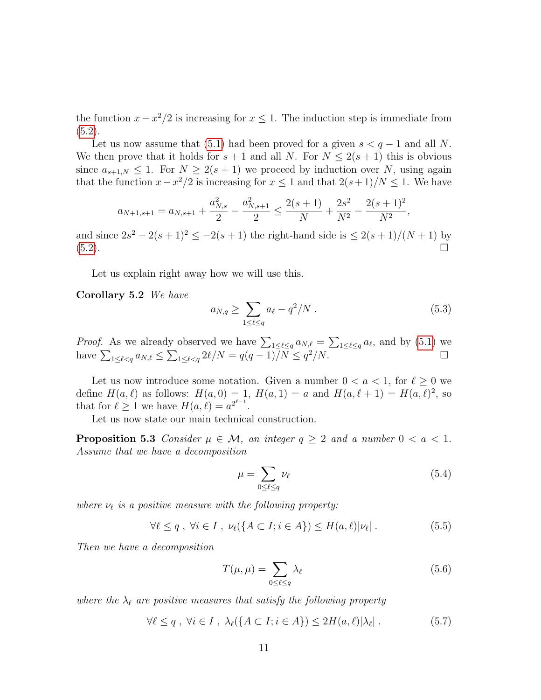the function  $x - x^2/2$  is increasing for  $x \le 1$ . The induction step is immediate from  $(5.2).$  $(5.2).$ 

Let us now assume that [\(5.1\)](#page-9-1) had been proved for a given  $s < q - 1$  and all N. We then prove that it holds for  $s + 1$  and all N. For  $N \leq 2(s + 1)$  this is obvious since  $a_{s+1,N} \leq 1$ . For  $N \geq 2(s+1)$  we proceed by induction over N, using again that the function  $x - x^2/2$  is increasing for  $x \le 1$  and that  $2(s+1)/N \le 1$ . We have

$$
a_{N+1,s+1} = a_{N,s+1} + \frac{a_{N,s}^2}{2} - \frac{a_{N,s+1}^2}{2} \le \frac{2(s+1)}{N} + \frac{2s^2}{N^2} - \frac{2(s+1)^2}{N^2},
$$

and since  $2s^2 - 2(s+1)^2 \leq -2(s+1)$  the right-hand side is  $\leq 2(s+1)/(N+1)$  by [\(5.2\)](#page-9-2).

Let us explain right away how we will use this.

Corollary 5.2 We have

<span id="page-10-3"></span>
$$
a_{N,q} \ge \sum_{1 \le \ell \le q} a_{\ell} - q^2/N \tag{5.3}
$$

*Proof.* As we already observed we have  $\sum_{1 \leq \ell \leq q} a_{N,\ell} = \sum_{1 \leq \ell \leq q} a_{\ell}$ , and by [\(5.1\)](#page-9-1) we have  $\sum_{1 \leq \ell < q} a_{N,\ell} \leq \sum_{1 \leq \ell < q} 2\ell/N = q(q-1)/N \leq q^2/N.$ 

Let us now introduce some notation. Given a number  $0 < a < 1$ , for  $\ell \geq 0$  we define  $H(a, \ell)$  as follows:  $H(a, 0) = 1$ ,  $H(a, 1) = a$  and  $H(a, \ell + 1) = H(a, \ell)^2$ , so that for  $\ell \geq 1$  we have  $H(a, \ell) = a^{2^{\ell-1}}$ .

Let us now state our main technical construction.

**Proposition 5.3** Consider  $\mu \in \mathcal{M}$ , an integer  $q \geq 2$  and a number  $0 < a < 1$ . Assume that we have a decomposition

<span id="page-10-4"></span><span id="page-10-2"></span>
$$
\mu = \sum_{0 \le \ell \le q} \nu_{\ell} \tag{5.4}
$$

where  $\nu_{\ell}$  is a positive measure with the following property:

<span id="page-10-1"></span>
$$
\forall \ell \le q \; , \; \forall i \in I \; , \; \nu_{\ell}(\{A \subset I; i \in A\}) \le H(a, \ell)|\nu_{\ell}| \; . \tag{5.5}
$$

Then we have a decomposition

$$
T(\mu, \mu) = \sum_{0 \le \ell \le q} \lambda_{\ell} \tag{5.6}
$$

where the  $\lambda_{\ell}$  are positive measures that satisfy the following property

<span id="page-10-0"></span>
$$
\forall \ell \le q \ , \ \forall i \in I \ , \ \lambda_{\ell}(\{A \subset I; i \in A\}) \le 2H(a,\ell)|\lambda_{\ell}| \ . \tag{5.7}
$$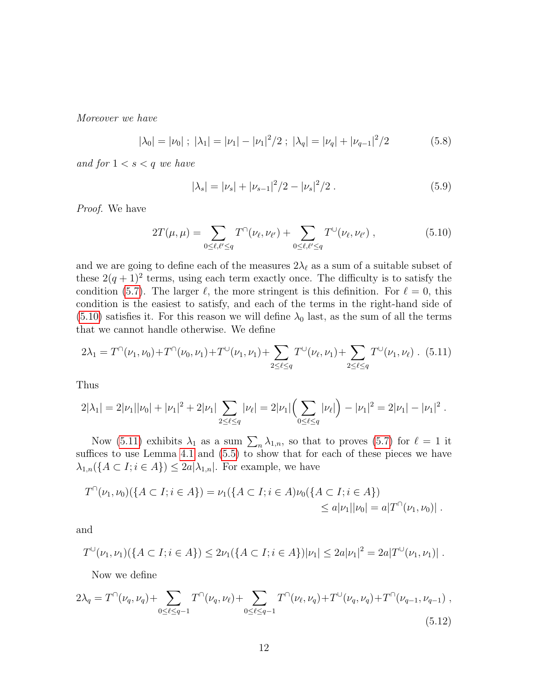Moreover we have

$$
|\lambda_0| = |\nu_0| \; ; \; |\lambda_1| = |\nu_1| - |\nu_1|^2 / 2 \; ; \; |\lambda_q| = |\nu_q| + |\nu_{q-1}|^2 / 2 \tag{5.8}
$$

and for  $1 < s < q$  we have

$$
|\lambda_s| = |\nu_s| + |\nu_{s-1}|^2/2 - |\nu_s|^2/2.
$$
 (5.9)

Proof. We have

<span id="page-11-0"></span>
$$
2T(\mu,\mu) = \sum_{0 \le \ell,\ell' \le q} T^{\cap}(\nu_{\ell},\nu_{\ell'}) + \sum_{0 \le \ell,\ell' \le q} T^{\cup}(\nu_{\ell},\nu_{\ell'}) , \qquad (5.10)
$$

and we are going to define each of the measures  $2\lambda_\ell$  as a sum of a suitable subset of these  $2(q+1)^2$  terms, using each term exactly once. The difficulty is to satisfy the condition [\(5.7\)](#page-10-0). The larger  $\ell$ , the more stringent is this definition. For  $\ell = 0$ , this condition is the easiest to satisfy, and each of the terms in the right-hand side of  $(5.10)$  satisfies it. For this reason we will define  $\lambda_0$  last, as the sum of all the terms that we cannot handle otherwise. We define

<span id="page-11-1"></span>
$$
2\lambda_1 = T^{\cap}(\nu_1, \nu_0) + T^{\cap}(\nu_0, \nu_1) + T^{\cup}(\nu_1, \nu_1) + \sum_{2 \le \ell \le q} T^{\cup}(\nu_\ell, \nu_1) + \sum_{2 \le \ell \le q} T^{\cup}(\nu_1, \nu_\ell).
$$
 (5.11)

Thus

$$
2|\lambda_1| = 2|\nu_1||\nu_0| + |\nu_1|^2 + 2|\nu_1| \sum_{2 \leq \ell \leq q} |\nu_\ell| = 2|\nu_1| \left(\sum_{0 \leq \ell \leq q} |\nu_\ell|\right) - |\nu_1|^2 = 2|\nu_1| - |\nu_1|^2.
$$

Now [\(5.11\)](#page-11-1) exhibits  $\lambda_1$  as a sum  $\sum_n \lambda_{1,n}$ , so that to proves [\(5.7\)](#page-10-0) for  $\ell = 1$  it suffices to use Lemma [4.1](#page-7-2) and  $(5.5)$  to show that for each of these pieces we have  $\lambda_{1,n}(\lbrace A \subset I; i \in A \rbrace) \leq 2a |\lambda_{1,n}|$ . For example, we have

$$
T^{\cap}(\nu_1, \nu_0)(\{A \subset I; i \in A\}) = \nu_1(\{A \subset I; i \in A\})\nu_0(\{A \subset I; i \in A\})
$$
  
\$\leq a|\nu\_1||\nu\_0| = a|T^{\cap}(\nu\_1, \nu\_0)|\$ .

and

$$
T^{\cup}(\nu_1,\nu_1)(\{A \subset I; i \in A\}) \leq 2\nu_1(\{A \subset I; i \in A\})|\nu_1| \leq 2a|\nu_1|^2 = 2a|T^{\cup}(\nu_1,\nu_1)|.
$$

Now we define

<span id="page-11-2"></span>
$$
2\lambda_q = T^{\cap}(\nu_q, \nu_q) + \sum_{0 \le \ell \le q-1} T^{\cap}(\nu_q, \nu_\ell) + \sum_{0 \le \ell \le q-1} T^{\cap}(\nu_\ell, \nu_q) + T^{\cup}(\nu_q, \nu_q) + T^{\cap}(\nu_{q-1}, \nu_{q-1}),
$$
\n(5.12)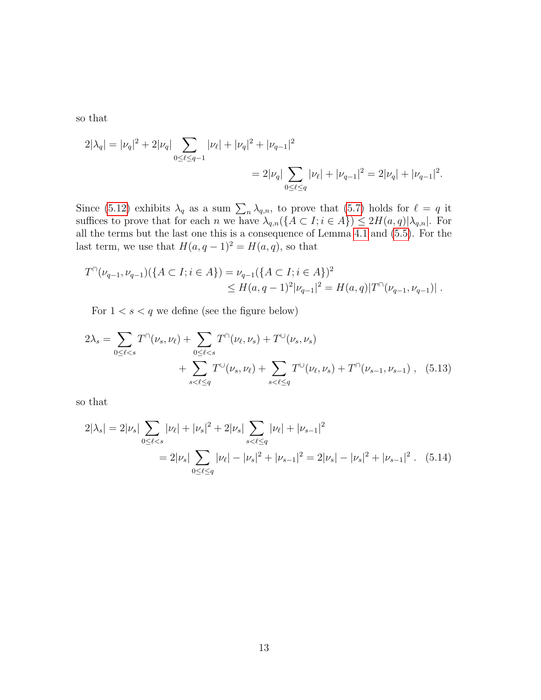so that

$$
2|\lambda_q| = |\nu_q|^2 + 2|\nu_q| \sum_{0 \le \ell \le q-1} |\nu_\ell| + |\nu_q|^2 + |\nu_{q-1}|^2
$$
  
= 
$$
2|\nu_q| \sum_{0 \le \ell \le q} |\nu_\ell| + |\nu_{q-1}|^2 = 2|\nu_q| + |\nu_{q-1}|^2.
$$

Since [\(5.12\)](#page-11-2) exhibits  $\lambda_q$  as a sum  $\sum_n \lambda_{q,n}$ , to prove that [\(5.7\)](#page-10-0) holds for  $\ell = q$  it suffices to prove that for each n we have  $\lambda_{q,n}(\lbrace A \subset I; i \in A \rbrace) \leq 2H(a,q)|\lambda_{q,n}|$ . For all the terms but the last one this is a consequence of Lemma [4.1](#page-7-2) and [\(5.5\)](#page-10-1). For the last term, we use that  $H(a,q-1)^2 = H(a,q)$ , so that

$$
T^{\cap}(\nu_{q-1}, \nu_{q-1})(\{A \subset I; i \in A\}) = \nu_{q-1}(\{A \subset I; i \in A\})^2
$$
  
\$\leq H(a, q-1)^2 |\nu\_{q-1}|^2 = H(a, q)|T^{\cap}(\nu\_{q-1}, \nu\_{q-1})|.

For  $1 < s < q$  we define (see the figure below)

$$
2\lambda_s = \sum_{0 \le \ell < s} T^{\cap}(\nu_s, \nu_\ell) + \sum_{0 \le \ell < s} T^{\cap}(\nu_\ell, \nu_s) + T^{\cup}(\nu_s, \nu_s) + \sum_{s < \ell \le q} T^{\cup}(\nu_s, \nu_\ell) + \sum_{s < \ell \le q} T^{\cup}(\nu_\ell, \nu_s) + T^{\cap}(\nu_{s-1}, \nu_{s-1}), \quad (5.13)
$$

so that

$$
2|\lambda_s| = 2|\nu_s| \sum_{0 \le \ell < s} |\nu_\ell| + |\nu_s|^2 + 2|\nu_s| \sum_{s < \ell \le q} |\nu_\ell| + |\nu_{s-1}|^2
$$
\n
$$
= 2|\nu_s| \sum_{0 \le \ell \le q} |\nu_\ell| - |\nu_s|^2 + |\nu_{s-1}|^2 = 2|\nu_s| - |\nu_s|^2 + |\nu_{s-1}|^2. \tag{5.14}
$$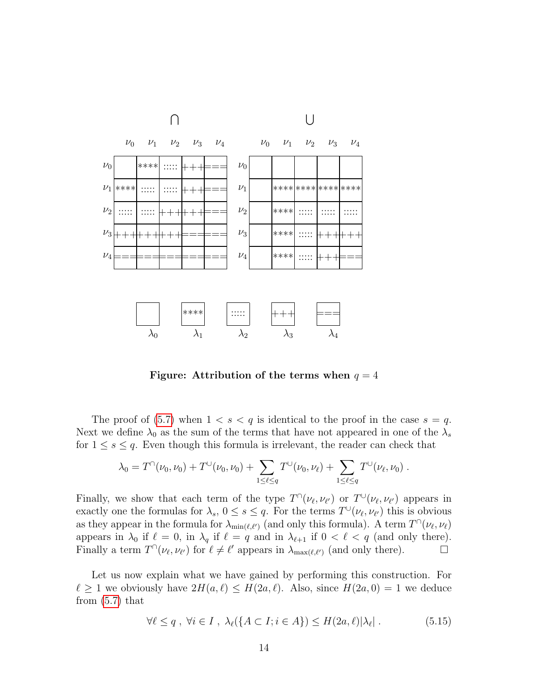

Figure: Attribution of the terms when  $q = 4$ 

The proof of [\(5.7\)](#page-10-0) when  $1 < s < q$  is identical to the proof in the case  $s = q$ . Next we define  $\lambda_0$  as the sum of the terms that have not appeared in one of the  $\lambda_s$ for  $1 \leq s \leq q$ . Even though this formula is irrelevant, the reader can check that

$$
\lambda_0 = T^{\cap}(\nu_0, \nu_0) + T^{\cup}(\nu_0, \nu_0) + \sum_{1 \leq \ell \leq q} T^{\cup}(\nu_0, \nu_\ell) + \sum_{1 \leq \ell \leq q} T^{\cup}(\nu_\ell, \nu_0).
$$

Finally, we show that each term of the type  $T^{\cap}(\nu_{\ell}, \nu_{\ell'})$  or  $T^{\cup}(\nu_{\ell}, \nu_{\ell'})$  appears in exactly one the formulas for  $\lambda_s$ ,  $0 \le s \le q$ . For the terms  $T^{\cup}(\nu_{\ell}, \nu_{\ell'})$  this is obvious as they appear in the formula for  $\lambda_{\min(\ell,\ell')}$  (and only this formula). A term  $T^{\cap}(\nu_{\ell},\nu_{\ell})$ appears in  $\lambda_0$  if  $\ell = 0$ , in  $\lambda_q$  if  $\ell = q$  and in  $\lambda_{\ell+1}$  if  $0 < \ell < q$  (and only there). Finally a term  $T^{\cap}(\nu_{\ell}, \nu_{\ell'})$  for  $\ell \neq \ell'$  appears in  $\lambda_{\max(\ell,\ell')}$  (and only there).

Let us now explain what we have gained by performing this construction. For  $\ell \ge 1$  we obviously have  $2H(a, \ell) \le H(2a, \ell)$ . Also, since  $H(2a, 0) = 1$  we deduce from [\(5.7\)](#page-10-0) that

$$
\forall \ell \le q \,,\,\forall i \in I \,,\,\lambda_{\ell}(\{A \subset I; i \in A\}) \le H(2a,\ell)|\lambda_{\ell}| \,. \tag{5.15}
$$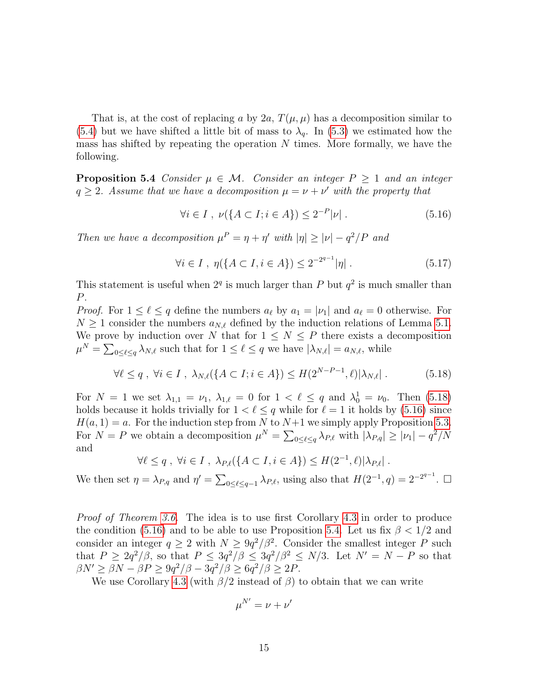That is, at the cost of replacing a by 2a,  $T(\mu, \mu)$  has a decomposition similar to [\(5.4\)](#page-10-2) but we have shifted a little bit of mass to  $\lambda_q$ . In [\(5.3\)](#page-10-3) we estimated how the mass has shifted by repeating the operation  $N$  times. More formally, we have the following.

<span id="page-14-2"></span>**Proposition 5.4** Consider  $\mu \in \mathcal{M}$ . Consider an integer  $P \geq 1$  and an integer  $q \geq 2$ . Assume that we have a decomposition  $\mu = \nu + \nu'$  with the property that

<span id="page-14-1"></span>
$$
\forall i \in I \, , \, \nu(\{A \subset I; i \in A\}) \le 2^{-P} |\nu| \, . \tag{5.16}
$$

Then we have a decomposition  $\mu^P = \eta + \eta'$  with  $|\eta| \geq |\nu| - q^2/P$  and

<span id="page-14-3"></span>
$$
\forall i \in I \ , \ \eta(\{A \subset I, i \in A\}) \le 2^{-2^{q-1}} |\eta| \ . \tag{5.17}
$$

This statement is useful when  $2<sup>q</sup>$  is much larger than P but  $q<sup>2</sup>$  is much smaller than P.

*Proof.* For  $1 \leq \ell \leq q$  define the numbers  $a_{\ell}$  by  $a_1 = |\nu_1|$  and  $a_{\ell} = 0$  otherwise. For  $N \geq 1$  consider the numbers  $a_{N,\ell}$  defined by the induction relations of Lemma [5.1.](#page-9-3) We prove by induction over N that for  $1 \leq N \leq P$  there exists a decomposition  $\mu^N = \sum_{0 \leq \ell \leq q} \lambda_{N,\ell}$  such that for  $1 \leq \ell \leq q$  we have  $|\lambda_{N,\ell}| = a_{N,\ell}$ , while

<span id="page-14-0"></span>
$$
\forall \ell \le q \ , \ \forall i \in I \ , \ \lambda_{N,\ell}(\{A \subset I; i \in A\}) \le H(2^{N-P-1}, \ell)|\lambda_{N,\ell}| \ . \tag{5.18}
$$

For  $N = 1$  we set  $\lambda_{1,1} = \nu_1$ ,  $\lambda_{1,\ell} = 0$  for  $1 < \ell \leq q$  and  $\lambda_0^1 = \nu_0$ . Then [\(5.18\)](#page-14-0) holds because it holds trivially for  $1 < \ell \leq q$  while for  $\ell = 1$  it holds by [\(5.16\)](#page-14-1) since  $H(a, 1) = a$ . For the induction step from N to  $N+1$  we simply apply Proposition [5.3.](#page-10-4) For  $N = P$  we obtain a decomposition  $\mu^N = \sum_{0 \leq \ell \leq q} \lambda_{P,\ell}$  with  $|\lambda_{P,q}| \geq |\nu_1| - q^2/N$ and

$$
\forall \ell \leq q \;,\; \forall i \in I \;,\; \lambda_{P,\ell}(\lbrace A \subset I, i \in A \rbrace) \leq H(2^{-1}, \ell) |\lambda_{P,\ell}| \;.
$$

We then set  $\eta = \lambda_{P,q}$  and  $\eta' = \sum_{0 \leq \ell \leq q-1} \lambda_{P,\ell}$ , using also that  $H(2^{-1}, q) = 2^{-2^{q-1}}$ .

*Proof of Theorem [3.6.](#page-5-4)* The idea is to use first Corollary [4.3](#page-8-4) in order to produce the condition [\(5.16\)](#page-14-1) and to be able to use Proposition [5.4.](#page-14-2) Let us fix  $\beta < 1/2$  and consider an integer  $q \ge 2$  with  $N \ge 9q^2/\beta^2$ . Consider the smallest integer P such that  $P \geq 2q^2/\beta$ , so that  $P \leq 3q^2/\beta \leq 3q^2/\beta^2 \leq N/3$ . Let  $N' = N - P$  so that  $\beta N' \geq \beta N - \beta P \geq 9q^2/\beta - 3q^2/\beta \geq 6q^2/\beta \geq 2P$ .

We use Corollary [4.3](#page-8-4) (with  $\beta/2$  instead of  $\beta$ ) to obtain that we can write

$$
\mu^{N'}=\nu+\nu'
$$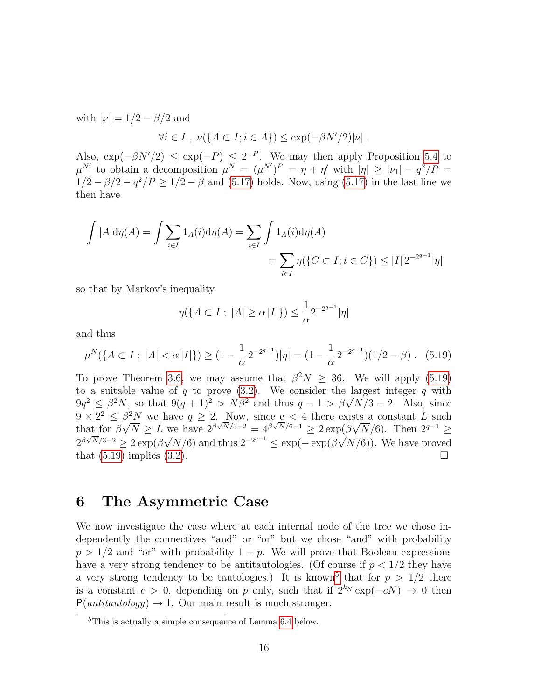with  $|\nu| = 1/2 - \beta/2$  and

$$
\forall i \in I , \nu({A \subset I}; i \in A) \le \exp(-\beta N'/2)|\nu| .
$$

Also,  $\exp(-\beta N'/2) \leq \exp(-P) \leq 2^{-P}$ . We may then apply Proposition [5.4](#page-14-2) to  $\mu^{N'}$  to obtain a decomposition  $\mu^N = (\mu^{N'})^P = \eta + \eta'$  with  $|\eta| \geq |\nu_1| - q^2/P =$  $1/2 - \beta/2 - q^2/P \ge 1/2 - \beta$  and [\(5.17\)](#page-14-3) holds. Now, using (5.17) in the last line we then have

$$
\int |A| d\eta(A) = \int \sum_{i \in I} 1_A(i) d\eta(A) = \sum_{i \in I} \int 1_A(i) d\eta(A)
$$
  
= 
$$
\sum_{i \in I} \eta(\{C \subset I; i \in C\}) \le |I| 2^{-2^{q-1}} |\eta|
$$

so that by Markov's inequality

$$
\eta(\{A \subset I \; ; \; |A| \ge \alpha \, |I|\}) \le \frac{1}{\alpha} 2^{-2^{q-1}} |\eta|
$$

and thus

<span id="page-15-0"></span>
$$
\mu^N(\{A \subset I \; ; \; |A| < \alpha \, |I|\}) \ge (1 - \frac{1}{\alpha} \, 2^{-2^{q-1}}) |\eta| = (1 - \frac{1}{\alpha} \, 2^{-2^{q-1}}) (1/2 - \beta) \,. \tag{5.19}
$$

To prove Theorem [3.6,](#page-5-4) we may assume that  $\beta^2 N \geq 36$ . We will apply [\(5.19\)](#page-15-0) to a suitable value of q to prove  $(3.2)$ . We consider the largest integer q with to a suitable value of q to prove (3.2). We consider the largest integer q with  $9q^2 \leq \beta^2 N$ , so that  $9(q+1)^2 > N\beta^2$  and thus  $q-1 > \beta\sqrt{N}/3 - 2$ . Also, since  $9 \times 2^2 \leq \beta^2 N$  we have  $q \geq 2$ . Now, since e < 4 there exists a constant L such that for  $\beta$  $\overline{\rho}$ ,  $\frac{N}{N} \geq L$  we have  $2^{\beta \sqrt{N}}/3^{-2} = 4^{\beta \sqrt{N}}/6^{-1} \geq 2 \exp(\beta)$ √ at for  $\beta\sqrt{N} \geq L$  we have  $2^{\beta\sqrt{N}/3-2} = 4^{\beta\sqrt{N}/6-1} \geq 2\exp(\beta\sqrt{N}/6)$ . Then  $2^{q-1} \geq$  $2^{\beta\sqrt{N}/3-2} \geq 2\exp(\beta\sqrt{N}/6)$  and thus  $2^{-2^{q-1}} \leq \exp(-\exp(\beta\sqrt{N}/6))$ . We have proved that  $(5.19)$  implies  $(3.2)$ .

### 6 The Asymmetric Case

We now investigate the case where at each internal node of the tree we chose independently the connectives "and" or "or" but we chose "and" with probability  $p > 1/2$  and "or" with probability  $1 - p$ . We will prove that Boolean expressions have a very strong tendency to be antitautologies. (Of course if  $p < 1/2$  they have a very strong tendency to be tautologies.) It is known<sup>[5](#page-15-1)</sup> that for  $p > 1/2$  there is a constant  $c > 0$ , depending on p only, such that if  $2^{k_N} \exp(-cN) \rightarrow 0$  then  $P(antitautology) \rightarrow 1$ . Our main result is much stronger.

<span id="page-15-2"></span><span id="page-15-1"></span><sup>5</sup>This is actually a simple consequence of Lemma [6.4](#page-16-0) below.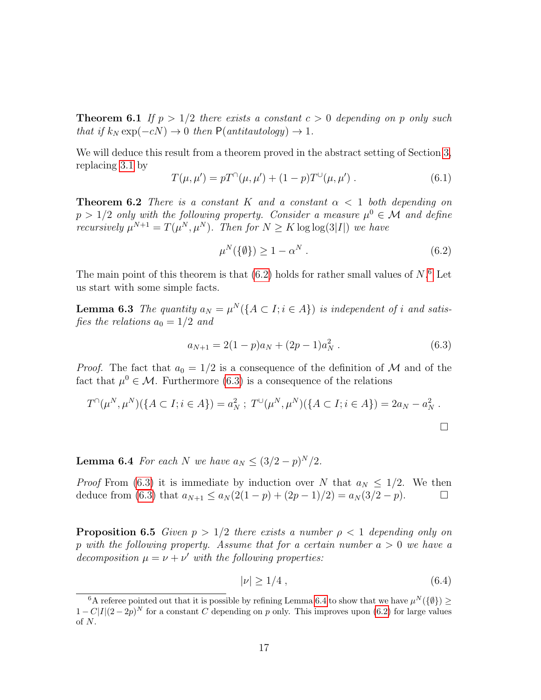**Theorem 6.1** If  $p > 1/2$  there exists a constant  $c > 0$  depending on p only such that if  $k_N \exp(-cN) \to 0$  then P(antitautology)  $\to 1$ .

We will deduce this result from a theorem proved in the abstract setting of Section [3,](#page-3-2) replacing [3.1](#page-4-1) by

$$
T(\mu, \mu') = pT^{\cap}(\mu, \mu') + (1 - p)T^{\cup}(\mu, \mu') . \qquad (6.1)
$$

<span id="page-16-5"></span>**Theorem 6.2** There is a constant K and a constant  $\alpha < 1$  both depending on  $p > 1/2$  only with the following property. Consider a measure  $\mu^0 \in \mathcal{M}$  and define recursively  $\mu^{N+1} = T(\mu^N, \mu^N)$ . Then for  $N \geq K \log \log(3|I|)$  we have

<span id="page-16-1"></span>
$$
\mu^N(\{\emptyset\}) \ge 1 - \alpha^N \tag{6.2}
$$

The main point of this theorem is that  $(6.2)$  holds for rather small values of  $N$ .<sup>[6](#page-16-2)</sup> Let us start with some simple facts.

**Lemma 6.3** The quantity  $a_N = \mu^N(\lbrace A \subset I; i \in A \rbrace)$  is independent of i and satisfies the relations  $a_0 = 1/2$  and

<span id="page-16-3"></span>
$$
a_{N+1} = 2(1-p)a_N + (2p-1)a_N^2.
$$
 (6.3)

*Proof.* The fact that  $a_0 = 1/2$  is a consequence of the definition of M and of the fact that  $\mu^0 \in \mathcal{M}$ . Furthermore [\(6.3\)](#page-16-3) is a consequence of the relations

$$
T^{\cap}(\mu^N, \mu^N)(\{A \subset I; i \in A\}) = a_N^2; \ T^{\cup}(\mu^N, \mu^N)(\{A \subset I; i \in A\}) = 2a_N - a_N^2.
$$

**Lemma 6.4** For each N we have  $a_N \leq (3/2 - p)^N/2$ .

*Proof* From [\(6.3\)](#page-16-3) it is immediate by induction over N that  $a_N \leq 1/2$ . We then deduce from [\(6.3\)](#page-16-3) that  $a_{N+1} \le a_N (2(1-p) + (2p-1)/2) = a_N (3/2 - p)$ .  $\Box$ 

<span id="page-16-4"></span>**Proposition 6.5** Given  $p > 1/2$  there exists a number  $p < 1$  depending only on p with the following property. Assume that for a certain number  $a > 0$  we have a decomposition  $\mu = \nu + \nu'$  with the following properties:

<span id="page-16-0"></span>
$$
|\nu| \ge 1/4 \tag{6.4}
$$

<span id="page-16-2"></span><sup>&</sup>lt;sup>6</sup>A referee pointed out that it is possible by refining Lemma [6.4](#page-16-0) to show that we have  $\mu^N(\{\emptyset\}) \geq$  $1 - C|I|(2 - 2p)^N$  for a constant C depending on p only. This improves upon [\(6.2\)](#page-16-1) for large values of N.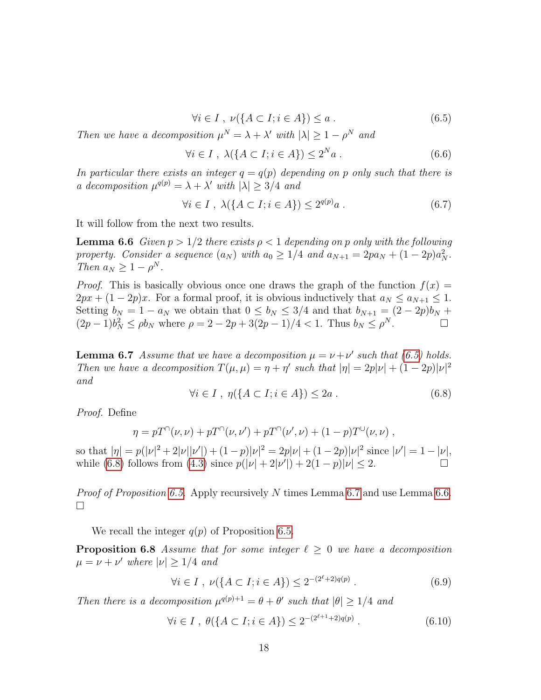<span id="page-17-0"></span>
$$
\forall i \in I \; , \; \nu(\lbrace A \subset I; i \in A \rbrace) \le a \; . \tag{6.5}
$$

Then we have a decomposition  $\mu^N = \lambda + \lambda'$  with  $|\lambda| \geq 1 - \rho^N$  and

$$
\forall i \in I \ , \ \lambda(\{A \subset I; i \in A\}) \le 2^N a \ . \tag{6.6}
$$

In particular there exists an integer  $q = q(p)$  depending on p only such that there is a decomposition  $\mu^{q(p)} = \lambda + \lambda'$  with  $|\lambda| \geq 3/4$  and

<span id="page-17-3"></span>
$$
\forall i \in I \ , \ \lambda(\{A \subset I; i \in A\}) \le 2^{q(p)}a \ . \tag{6.7}
$$

It will follow from the next two results.

**Lemma 6.6** Given  $p > 1/2$  there exists  $p < 1$  depending on p only with the following property. Consider a sequence  $(a_N)$  with  $a_0 \geq 1/4$  and  $a_{N+1} = 2pa_N + (1-2p)a_N^2$ . Then  $a_N \geq 1 - \rho^N$ .

*Proof.* This is basically obvious once one draws the graph of the function  $f(x) =$  $2px + (1-2p)x$ . For a formal proof, it is obvious inductively that  $a_N \le a_{N+1} \le 1$ . Setting  $b_N = 1 - a_N$  we obtain that  $0 \le b_N \le 3/4$  and that  $b_{N+1} = (2 - 2p)b_N +$  $(2p-1)b_N^2 \le \rho b_N$  where  $\rho = 2 - 2p + 3(2p-1)/4 < 1$ . Thus  $b_N \le \rho^N$ .

<span id="page-17-2"></span>**Lemma 6.7** Assume that we have a decomposition  $\mu = \nu + \nu'$  such that [\(6.5\)](#page-17-0) holds. Then we have a decomposition  $T(\mu, \mu) = \eta + \eta'$  such that  $|\eta| = 2p|\nu| + (1 - 2p)|\nu|^2$ and

<span id="page-17-1"></span>
$$
\forall i \in I \ , \ \eta(\lbrace A \subset I; i \in A \rbrace) \leq 2a \ . \tag{6.8}
$$

Proof. Define

$$
\eta = pT^{\cap}(\nu, \nu) + pT^{\cap}(\nu, \nu') + pT^{\cap}(\nu', \nu) + (1 - p)T^{\cup}(\nu, \nu) ,
$$

so that  $|\eta| = p(|\nu|^2 + 2|\nu||\nu'|) + (1-p)|\nu|^2 = 2p|\nu| + (1-2p)|\nu|^2$  since  $|\nu'| = 1 - |\nu|$ , while [\(6.8\)](#page-17-1) follows from [\(4.3\)](#page-7-1) since  $p(|\nu| + 2|\nu'|) + 2(1-p)|\nu| \le 2$ .

Proof of Proposition [6.5.](#page-16-4) Apply recursively N times Lemma [6.7](#page-17-2) and use Lemma [6.6.](#page-17-3)  $\Box$ 

We recall the integer  $q(p)$  of Proposition [6.5.](#page-16-4)

**Proposition 6.8** Assume that for some integer  $\ell \geq 0$  we have a decomposition  $\mu = \nu + \nu'$  where  $|\nu| \geq 1/4$  and

<span id="page-17-5"></span>
$$
\forall i \in I \ , \ \nu(\{A \subset I; i \in A\}) \le 2^{-(2^{\ell}+2)q(p)} \ . \tag{6.9}
$$

Then there is a decomposition  $\mu^{q(p)+1} = \theta + \theta'$  such that  $|\theta| \geq 1/4$  and

<span id="page-17-4"></span>
$$
\forall i \in I \ , \ \theta(\{A \subset I; i \in A\}) \le 2^{-(2^{\ell+1}+2)q(p)} \ . \tag{6.10}
$$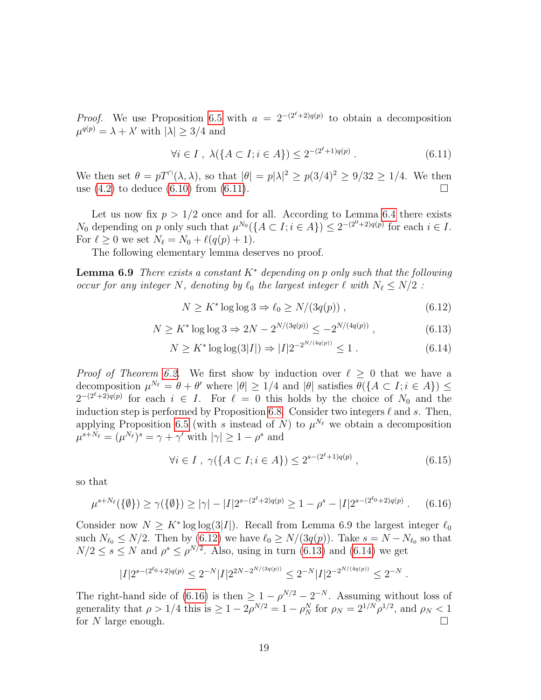*Proof.* We use Proposition [6.5](#page-16-4) with  $a = 2^{-(2^{\ell}+2)q(p)}$  to obtain a decomposition  $\mu^{q(p)} = \lambda + \lambda'$  with  $|\lambda| \geq 3/4$  and

<span id="page-18-0"></span>
$$
\forall i \in I \ , \ \lambda(\{A \subset I; i \in A\}) \le 2^{-(2^{\ell}+1)q(p)} \ . \tag{6.11}
$$

We then set  $\theta = pT^{\cap}(\lambda, \lambda)$ , so that  $|\theta| = p|\lambda|^2 \ge p(3/4)^2 \ge 9/32 \ge 1/4$ . We then use  $(4.2)$  to deduce  $(6.10)$  from  $(6.11)$ .

Let us now fix  $p > 1/2$  once and for all. According to Lemma [6.4](#page-16-0) there exists  $N_0$  depending on p only such that  $\mu^{N_0}(\lbrace A \subset I; i \in A \rbrace) \leq 2^{-(2^0+2)q(p)}$  for each  $i \in I$ . For  $\ell \geq 0$  we set  $N_{\ell} = N_0 + \ell(q(p) + 1)$ .

The following elementary lemma deserves no proof.

**Lemma 6.9** There exists a constant  $K^*$  depending on p only such that the following occur for any integer N, denoting by  $\ell_0$  the largest integer  $\ell$  with  $N_{\ell} \leq N/2$ :

<span id="page-18-1"></span>
$$
N \ge K^* \log \log 3 \Rightarrow \ell_0 \ge N/(3q(p)), \qquad (6.12)
$$

<span id="page-18-2"></span>
$$
N \ge K^* \log \log 3 \Rightarrow 2N - 2^{N/(3q(p))} \le -2^{N/(4q(p))},\tag{6.13}
$$

<span id="page-18-3"></span>
$$
N \ge K^* \log \log(3|I|) \Rightarrow |I| 2^{-2^{N/(4q(p))}} \le 1. \tag{6.14}
$$

*Proof of Theorem [6.2.](#page-16-5)* We first show by induction over  $\ell \geq 0$  that we have a decomposition  $\mu^{N_{\ell}} = \theta + \theta'$  where  $|\theta| \geq 1/4$  and  $|\theta|$  satisfies  $\theta(\lbrace A \subset I; i \in A \rbrace) \leq$  $2^{-(2^{\ell}+2)q(p)}$  for each  $i \in I$ . For  $\ell = 0$  this holds by the choice of  $N_0$  and the induction step is performed by Proposition [6.8.](#page-17-5) Consider two integers  $\ell$  and s. Then, applying Proposition [6.5](#page-16-4) (with s instead of N) to  $\mu^{N_{\ell}}$  we obtain a decomposition  $\mu^{s+N_{\ell}} = (\mu^{N_{\ell}})^s = \gamma + \gamma'$  with  $|\gamma| \geq 1 - \rho^s$  and

$$
\forall i \in I \ , \ \gamma(\{A \subset I; i \in A\}) \le 2^{s - (2^{\ell} + 1)q(p)} \ , \tag{6.15}
$$

so that

<span id="page-18-4"></span>
$$
\mu^{s+N_{\ell}}(\{\emptyset\}) \ge \gamma(\{\emptyset\}) \ge |\gamma| - |I| 2^{s-(2^{\ell}+2)q(p)} \ge 1 - \rho^s - |I| 2^{s-(2^{\ell}0+2)q(p)} . \tag{6.16}
$$

Consider now  $N \geq K^* \log \log(3|I|)$ . Recall from Lemma 6.9 the largest integer  $\ell_0$ such  $N_{\ell_0} \le N/2$ . Then by [\(6.12\)](#page-18-1) we have  $\ell_0 \ge N/(3q(p))$ . Take  $s = N - N_{\ell_0}$  so that  $N/2 \leq s \leq N$  and  $\rho^s \leq \rho^{N/2}$ . Also, using in turn [\(6.13\)](#page-18-2) and [\(6.14\)](#page-18-3) we get

$$
|I| 2^{s-(2^{\ell_0}+2)q(p)} \leq 2^{-N} |I| 2^{2N-2^{N/(3q(p))}} \leq 2^{-N} |I| 2^{-2^{N/(4q(p))}} \leq 2^{-N} \; .
$$

The right-hand side of [\(6.16\)](#page-18-4) is then  $\geq 1 - \rho^{N/2} - 2^{-N}$ . Assuming without loss of generality that  $\rho > 1/4$  this is  $\geq 1 - 2\rho^{N/2} = 1 - \rho_N^N$  for  $\rho_N = 2^{1/N} \rho^{1/2}$ , and  $\rho_N < 1$ for N large enough.  $\square$